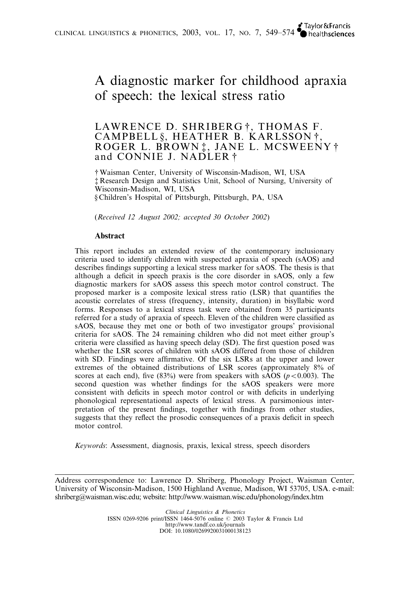CLINICAL LINGUISTICS & PHONETICS, 2003, VOL. 17, NO. 7, 549-574 Chealthsciences

# A diagnostic marker for childhood apraxia of speech: the lexical stress ratio

LAWRENCE D. SHRIBERG †, THOMAS F. CAMPBELL §, HEATHER B. KARLSSON {, ROGER L. BROWN  $\dagger$ , JANE L. MCSWEENY  $\dagger$ and CONNIE J. NADLER  $\dagger$ 

{ Waisman Center, University of Wisconsin-Madison, WI, USA { Research Design and Statistics Unit, School of Nursing, University of Wisconsin-Madison, WI, USA § Children's Hospital of Pittsburgh, Pittsburgh, PA, USA

(Received 12 August 2002; accepted 30 October 2002)

#### Abstract

This report includes an extended review of the contemporary inclusionary criteria used to identify children with suspected apraxia of speech (sAOS) and describes findings supporting a lexical stress marker for sAOS. The thesis is that although a deficit in speech praxis is the core disorder in sAOS, only a few diagnostic markers for sAOS assess this speech motor control construct. The proposed marker is a composite lexical stress ratio (LSR) that quantifies the acoustic correlates of stress (frequency, intensity, duration) in bisyllabic word forms. Responses to a lexical stress task were obtained from 35 participants referred for a study of apraxia of speech. Eleven of the children were classified as sAOS, because they met one or both of two investigator groups' provisional criteria for sAOS. The 24 remaining children who did not meet either group's criteria were classified as having speech delay (SD). The first question posed was whether the LSR scores of children with sAOS differed from those of children with SD. Findings were affirmative. Of the six LSRs at the upper and lower extremes of the obtained distributions of LSR scores (approximately 8% of scores at each end), five (83%) were from speakers with sAOS ( $p < 0.003$ ). The second question was whether findings for the sAOS speakers were more consistent with deficits in speech motor control or with deficits in underlying phonological representational aspects of lexical stress. A parsimonious interpretation of the present findings, together with findings from other studies, suggests that they reflect the prosodic consequences of a praxis deficit in speech motor control.

Keywords: Assessment, diagnosis, praxis, lexical stress, speech disorders

Address correspondence to: Lawrence D. Shriberg, Phonology Project, Waisman Center, University of Wisconsin-Madison, 1500 Highland Avenue, Madison, WI 53705, USA. e-mail: shriberg@waisman.wisc.edu; website: http://www.waisman.wisc.edu/phonology/index.htm

> Clinical Linguistics & Phonetics ISSN 0269-9206 print/ISSN 1464-5076 online © 2003 Taylor & Francis Ltd http://www.tandf.co.uk/journals DOI: 10.1080/0269920031000138123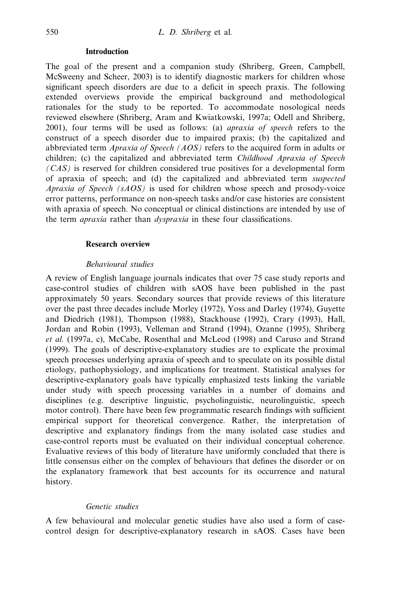# **Introduction**

The goal of the present and a companion study (Shriberg, Green, Campbell, McSweeny and Scheer, 2003) is to identify diagnostic markers for children whose significant speech disorders are due to a deficit in speech praxis. The following extended overviews provide the empirical background and methodological rationales for the study to be reported. To accommodate nosological needs reviewed elsewhere (Shriberg, Aram and Kwiatkowski, 1997a; Odell and Shriberg, 2001), four terms will be used as follows: (a) apraxia of speech refers to the construct of a speech disorder due to impaired praxis; (b) the capitalized and abbreviated term Apraxia of Speech (AOS) refers to the acquired form in adults or children; (c) the capitalized and abbreviated term Childhood Apraxia of Speech  $(CAS)$  is reserved for children considered true positives for a developmental form of apraxia of speech; and (d) the capitalized and abbreviated term suspected Apraxia of Speech (sAOS) is used for children whose speech and prosody-voice error patterns, performance on non-speech tasks and/or case histories are consistent with apraxia of speech. No conceptual or clinical distinctions are intended by use of the term *apraxia* rather than *dyspraxia* in these four classifications.

# Research overview

# Behavioural studies

A review of English language journals indicates that over 75 case study reports and case-control studies of children with sAOS have been published in the past approximately 50 years. Secondary sources that provide reviews of this literature over the past three decades include Morley (1972), Yoss and Darley (1974), Guyette and Diedrich (1981), Thompson (1988), Stackhouse (1992), Crary (1993), Hall, Jordan and Robin (1993), Velleman and Strand (1994), Ozanne (1995), Shriberg et al. (1997a, c), McCabe, Rosenthal and McLeod (1998) and Caruso and Strand (1999). The goals of descriptive-explanatory studies are to explicate the proximal speech processes underlying apraxia of speech and to speculate on its possible distal etiology, pathophysiology, and implications for treatment. Statistical analyses for descriptive-explanatory goals have typically emphasized tests linking the variable under study with speech processing variables in a number of domains and disciplines (e.g. descriptive linguistic, psycholinguistic, neurolinguistic, speech motor control). There have been few programmatic research findings with sufficient empirical support for theoretical convergence. Rather, the interpretation of descriptive and explanatory findings from the many isolated case studies and case-control reports must be evaluated on their individual conceptual coherence. Evaluative reviews of this body of literature have uniformly concluded that there is little consensus either on the complex of behaviours that defines the disorder or on the explanatory framework that best accounts for its occurrence and natural history.

# Genetic studies

A few behavioural and molecular genetic studies have also used a form of casecontrol design for descriptive-explanatory research in sAOS. Cases have been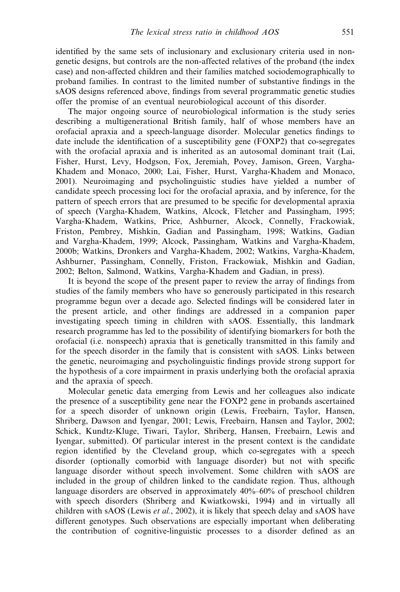identified by the same sets of inclusionary and exclusionary criteria used in nongenetic designs, but controls are the non-affected relatives of the proband (the index case) and non-affected children and their families matched sociodemographically to proband families. In contrast to the limited number of substantive findings in the sAOS designs referenced above, findings from several programmatic genetic studies offer the promise of an eventual neurobiological account of this disorder.

The major ongoing source of neurobiological information is the study series describing a multigenerational British family, half of whose members have an orofacial apraxia and a speech-language disorder. Molecular genetics findings to date include the identification of a susceptibility gene (FOXP2) that co-segregates with the orofacial apraxia and is inherited as an autosomal dominant trait (Lai, Fisher, Hurst, Levy, Hodgson, Fox, Jeremiah, Povey, Jamison, Green, Vargha-Khadem and Monaco, 2000; Lai, Fisher, Hurst, Vargha-Khadem and Monaco, 2001). Neuroimaging and psycholinguistic studies have yielded a number of candidate speech processing loci for the orofacial apraxia, and by inference, for the pattern of speech errors that are presumed to be specific for developmental apraxia of speech (Vargha-Khadem, Watkins, Alcock, Fletcher and Passingham, 1995; Vargha-Khadem, Watkins, Price, Ashburner, Alcock, Connelly, Frackowiak, Friston, Pembrey, Mishkin, Gadian and Passingham, 1998; Watkins, Gadian and Vargha-Khadem, 1999; Alcock, Passingham, Watkins and Vargha-Khadem, 2000b; Watkins, Dronkers and Vargha-Khadem, 2002; Watkins, Vargha-Khadem, Ashburner, Passingham, Connelly, Friston, Frackowiak, Mishkin and Gadian, 2002; Belton, Salmond, Watkins, Vargha-Khadem and Gadian, in press).

It is beyond the scope of the present paper to review the array of findings from studies of the family members who have so generously participated in this research programme begun over a decade ago. Selected findings will be considered later in the present article, and other findings are addressed in a companion paper investigating speech timing in children with sAOS. Essentially, this landmark research programme has led to the possibility of identifying biomarkers for both the orofacial (i.e. nonspeech) apraxia that is genetically transmitted in this family and for the speech disorder in the family that is consistent with sAOS. Links between the genetic, neuroimaging and psycholinguistic findings provide strong support for the hypothesis of a core impairment in praxis underlying both the orofacial apraxia and the apraxia of speech.

Molecular genetic data emerging from Lewis and her colleagues also indicate the presence of a susceptibility gene near the FOXP2 gene in probands ascertained for a speech disorder of unknown origin (Lewis, Freebairn, Taylor, Hansen, Shriberg, Dawson and Iyengar, 2001; Lewis, Freebairn, Hansen and Taylor, 2002; Schick, Kundtz-Kluge, Tiwari, Taylor, Shriberg, Hansen, Freebairn, Lewis and Iyengar, submitted). Of particular interest in the present context is the candidate region identified by the Cleveland group, which co-segregates with a speech disorder (optionally comorbid with language disorder) but not with specific language disorder without speech involvement. Some children with sAOS are included in the group of children linked to the candidate region. Thus, although language disorders are observed in approximately 40%–60% of preschool children with speech disorders (Shriberg and Kwiatkowski, 1994) and in virtually all children with sAOS (Lewis *et al.*, 2002), it is likely that speech delay and sAOS have different genotypes. Such observations are especially important when deliberating the contribution of cognitive-linguistic processes to a disorder defined as an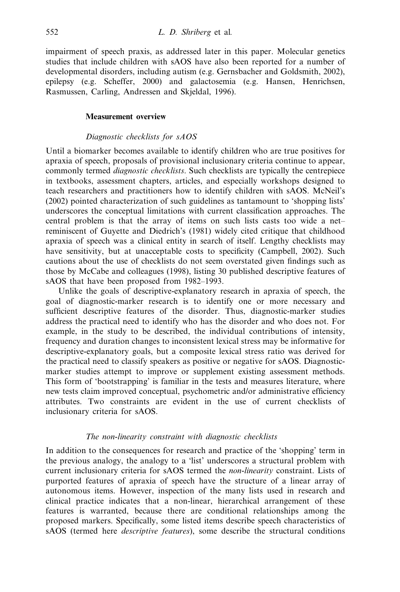impairment of speech praxis, as addressed later in this paper. Molecular genetics studies that include children with sAOS have also been reported for a number of developmental disorders, including autism (e.g. Gernsbacher and Goldsmith, 2002), epilepsy (e.g. Scheffer, 2000) and galactosemia (e.g. Hansen, Henrichsen, Rasmussen, Carling, Andressen and Skjeldal, 1996).

#### Measurement overview

# Diagnostic checklists for sAOS

Until a biomarker becomes available to identify children who are true positives for apraxia of speech, proposals of provisional inclusionary criteria continue to appear, commonly termed *diagnostic checklists*. Such checklists are typically the centrepiece in textbooks, assessment chapters, articles, and especially workshops designed to teach researchers and practitioners how to identify children with sAOS. McNeil's (2002) pointed characterization of such guidelines as tantamount to 'shopping lists' underscores the conceptual limitations with current classification approaches. The central problem is that the array of items on such lists casts too wide a net– reminiscent of Guyette and Diedrich's (1981) widely cited critique that childhood apraxia of speech was a clinical entity in search of itself. Lengthy checklists may have sensitivity, but at unacceptable costs to specificity (Campbell, 2002). Such cautions about the use of checklists do not seem overstated given findings such as those by McCabe and colleagues (1998), listing 30 published descriptive features of sAOS that have been proposed from 1982–1993.

Unlike the goals of descriptive-explanatory research in apraxia of speech, the goal of diagnostic-marker research is to identify one or more necessary and sufficient descriptive features of the disorder. Thus, diagnostic-marker studies address the practical need to identify who has the disorder and who does not. For example, in the study to be described, the individual contributions of intensity, frequency and duration changes to inconsistent lexical stress may be informative for descriptive-explanatory goals, but a composite lexical stress ratio was derived for the practical need to classify speakers as positive or negative for sAOS. Diagnosticmarker studies attempt to improve or supplement existing assessment methods. This form of 'bootstrapping' is familiar in the tests and measures literature, where new tests claim improved conceptual, psychometric and/or administrative efficiency attributes. Two constraints are evident in the use of current checklists of inclusionary criteria for sAOS.

# The non-linearity constraint with diagnostic checklists

In addition to the consequences for research and practice of the 'shopping' term in the previous analogy, the analogy to a 'list' underscores a structural problem with current inclusionary criteria for sAOS termed the non-linearity constraint. Lists of purported features of apraxia of speech have the structure of a linear array of autonomous items. However, inspection of the many lists used in research and clinical practice indicates that a non-linear, hierarchical arrangement of these features is warranted, because there are conditional relationships among the proposed markers. Specifically, some listed items describe speech characteristics of sAOS (termed here descriptive features), some describe the structural conditions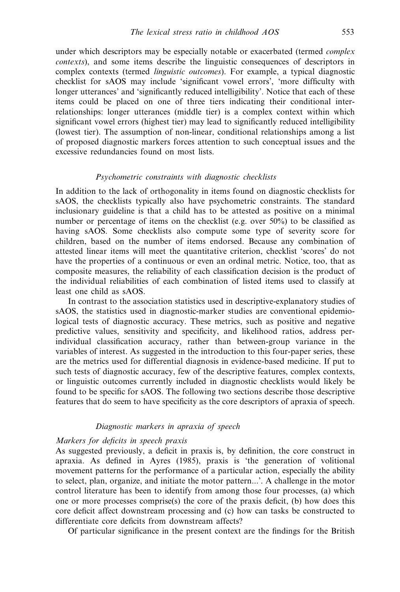under which descriptors may be especially notable or exacerbated (termed *complex* contexts), and some items describe the linguistic consequences of descriptors in complex contexts (termed linguistic outcomes). For example, a typical diagnostic checklist for sAOS may include 'significant vowel errors', 'more difficulty with longer utterances' and 'significantly reduced intelligibility'. Notice that each of these items could be placed on one of three tiers indicating their conditional interrelationships: longer utterances (middle tier) is a complex context within which significant vowel errors (highest tier) may lead to significantly reduced intelligibility (lowest tier). The assumption of non-linear, conditional relationships among a list of proposed diagnostic markers forces attention to such conceptual issues and the excessive redundancies found on most lists.

#### Psychometric constraints with diagnostic checklists

In addition to the lack of orthogonality in items found on diagnostic checklists for sAOS, the checklists typically also have psychometric constraints. The standard inclusionary guideline is that a child has to be attested as positive on a minimal number or percentage of items on the checklist (e.g. over 50%) to be classified as having sAOS. Some checklists also compute some type of severity score for children, based on the number of items endorsed. Because any combination of attested linear items will meet the quantitative criterion, checklist 'scores' do not have the properties of a continuous or even an ordinal metric. Notice, too, that as composite measures, the reliability of each classification decision is the product of the individual reliabilities of each combination of listed items used to classify at least one child as sAOS.

In contrast to the association statistics used in descriptive-explanatory studies of sAOS, the statistics used in diagnostic-marker studies are conventional epidemiological tests of diagnostic accuracy. These metrics, such as positive and negative predictive values, sensitivity and specificity, and likelihood ratios, address perindividual classification accuracy, rather than between-group variance in the variables of interest. As suggested in the introduction to this four-paper series, these are the metrics used for differential diagnosis in evidence-based medicine. If put to such tests of diagnostic accuracy, few of the descriptive features, complex contexts, or linguistic outcomes currently included in diagnostic checklists would likely be found to be specific for sAOS. The following two sections describe those descriptive features that do seem to have specificity as the core descriptors of apraxia of speech.

## Diagnostic markers in apraxia of speech

#### Markers for deficits in speech praxis

As suggested previously, a deficit in praxis is, by definition, the core construct in apraxia. As defined in Ayres (1985), praxis is 'the generation of volitional movement patterns for the performance of a particular action, especially the ability to select, plan, organize, and initiate the motor pattern...'. A challenge in the motor control literature has been to identify from among those four processes, (a) which one or more processes comprise(s) the core of the praxis deficit, (b) how does this core deficit affect downstream processing and (c) how can tasks be constructed to differentiate core deficits from downstream affects?

Of particular significance in the present context are the findings for the British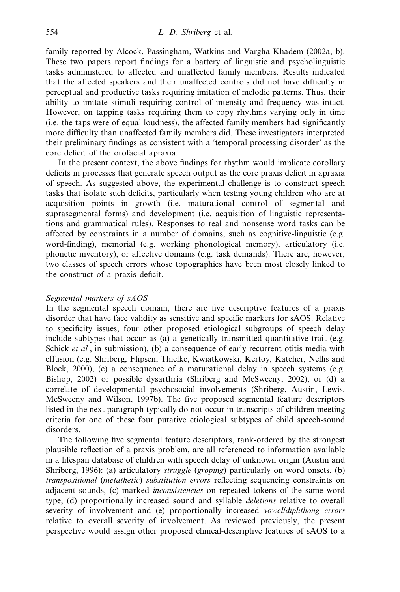family reported by Alcock, Passingham, Watkins and Vargha-Khadem (2002a, b). These two papers report findings for a battery of linguistic and psycholinguistic tasks administered to affected and unaffected family members. Results indicated that the affected speakers and their unaffected controls did not have difficulty in perceptual and productive tasks requiring imitation of melodic patterns. Thus, their ability to imitate stimuli requiring control of intensity and frequency was intact. However, on tapping tasks requiring them to copy rhythms varying only in time (i.e. the taps were of equal loudness), the affected family members had significantly more difficulty than unaffected family members did. These investigators interpreted their preliminary findings as consistent with a 'temporal processing disorder' as the core deficit of the orofacial apraxia.

In the present context, the above findings for rhythm would implicate corollary deficits in processes that generate speech output as the core praxis deficit in apraxia of speech. As suggested above, the experimental challenge is to construct speech tasks that isolate such deficits, particularly when testing young children who are at acquisition points in growth (i.e. maturational control of segmental and suprasegmental forms) and development (i.e. acquisition of linguistic representations and grammatical rules). Responses to real and nonsense word tasks can be affected by constraints in a number of domains, such as cognitive-linguistic (e.g. word-finding), memorial (e.g. working phonological memory), articulatory (i.e. phonetic inventory), or affective domains (e.g. task demands). There are, however, two classes of speech errors whose topographies have been most closely linked to the construct of a praxis deficit.

#### Segmental markers of sAOS

In the segmental speech domain, there are five descriptive features of a praxis disorder that have face validity as sensitive and specific markers for sAOS. Relative to specificity issues, four other proposed etiological subgroups of speech delay include subtypes that occur as  $(a)$  a genetically transmitted quantitative trait (e.g. Schick *et al.*, in submission), (b) a consequence of early recurrent otitis media with effusion (e.g. Shriberg, Flipsen, Thielke, Kwiatkowski, Kertoy, Katcher, Nellis and Block, 2000), (c) a consequence of a maturational delay in speech systems (e.g. Bishop, 2002) or possible dysarthria (Shriberg and McSweeny, 2002), or (d) a correlate of developmental psychosocial involvements (Shriberg, Austin, Lewis, McSweeny and Wilson, 1997b). The five proposed segmental feature descriptors listed in the next paragraph typically do not occur in transcripts of children meeting criteria for one of these four putative etiological subtypes of child speech-sound disorders.

The following five segmental feature descriptors, rank-ordered by the strongest plausible reflection of a praxis problem, are all referenced to information available in a lifespan database of children with speech delay of unknown origin (Austin and Shriberg, 1996): (a) articulatory struggle (groping) particularly on word onsets, (b) transpositional (metathetic) substitution errors reflecting sequencing constraints on adjacent sounds, (c) marked inconsistencies on repeated tokens of the same word type, (d) proportionally increased sound and syllable deletions relative to overall severity of involvement and (e) proportionally increased *vowell diphthong errors* relative to overall severity of involvement. As reviewed previously, the present perspective would assign other proposed clinical-descriptive features of sAOS to a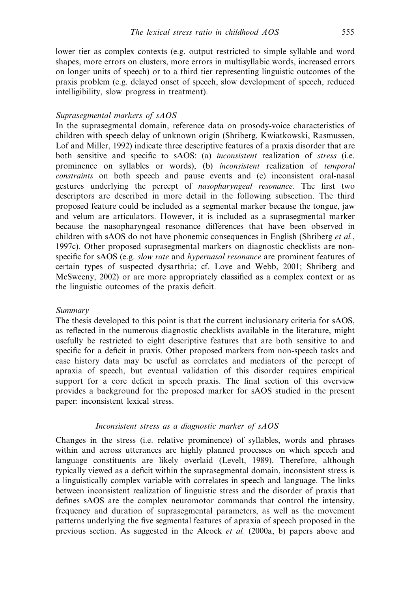lower tier as complex contexts (e.g. output restricted to simple syllable and word shapes, more errors on clusters, more errors in multisyllabic words, increased errors on longer units of speech) or to a third tier representing linguistic outcomes of the praxis problem (e.g. delayed onset of speech, slow development of speech, reduced intelligibility, slow progress in treatment).

#### Suprasegmental markers of sAOS

In the suprasegmental domain, reference data on prosody-voice characteristics of children with speech delay of unknown origin (Shriberg, Kwiatkowski, Rasmussen, Lof and Miller, 1992) indicate three descriptive features of a praxis disorder that are both sensitive and specific to sAOS: (a) *inconsistent* realization of *stress* (i.e. prominence on syllables or words), (b) inconsistent realization of temporal constraints on both speech and pause events and (c) inconsistent oral-nasal gestures underlying the percept of nasopharyngeal resonance. The first two descriptors are described in more detail in the following subsection. The third proposed feature could be included as a segmental marker because the tongue, jaw and velum are articulators. However, it is included as a suprasegmental marker because the nasopharyngeal resonance differences that have been observed in children with sAOS do not have phonemic consequences in English (Shriberg et al., 1997c). Other proposed suprasegmental markers on diagnostic checklists are nonspecific for sAOS (e.g. *slow rate* and *hypernasal resonance* are prominent features of certain types of suspected dysarthria; cf. Love and Webb, 2001; Shriberg and McSweeny, 2002) or are more appropriately classified as a complex context or as the linguistic outcomes of the praxis deficit.

# Summary

The thesis developed to this point is that the current inclusionary criteria for sAOS, as reflected in the numerous diagnostic checklists available in the literature, might usefully be restricted to eight descriptive features that are both sensitive to and specific for a deficit in praxis. Other proposed markers from non-speech tasks and case history data may be useful as correlates and mediators of the percept of apraxia of speech, but eventual validation of this disorder requires empirical support for a core deficit in speech praxis. The final section of this overview provides a background for the proposed marker for sAOS studied in the present paper: inconsistent lexical stress.

## Inconsistent stress as a diagnostic marker of sAOS

Changes in the stress (i.e. relative prominence) of syllables, words and phrases within and across utterances are highly planned processes on which speech and language constituents are likely overlaid (Levelt, 1989). Therefore, although typically viewed as a deficit within the suprasegmental domain, inconsistent stress is a linguistically complex variable with correlates in speech and language. The links between inconsistent realization of linguistic stress and the disorder of praxis that defines sAOS are the complex neuromotor commands that control the intensity, frequency and duration of suprasegmental parameters, as well as the movement patterns underlying the five segmental features of apraxia of speech proposed in the previous section. As suggested in the Alcock et al. (2000a, b) papers above and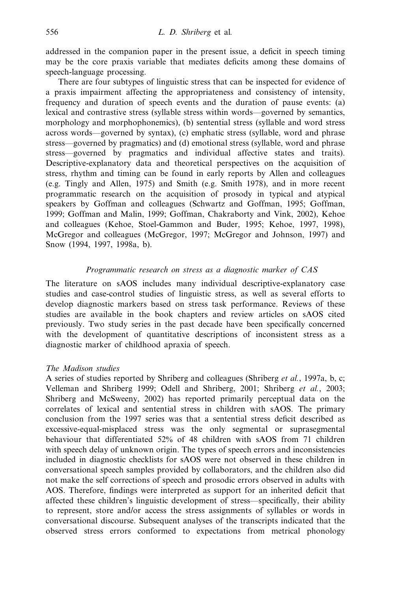addressed in the companion paper in the present issue, a deficit in speech timing may be the core praxis variable that mediates deficits among these domains of speech-language processing.

There are four subtypes of linguistic stress that can be inspected for evidence of a praxis impairment affecting the appropriateness and consistency of intensity, frequency and duration of speech events and the duration of pause events: (a) lexical and contrastive stress (syllable stress within words—governed by semantics, morphology and morphophonemics), (b) sentential stress (syllable and word stress across words—governed by syntax), (c) emphatic stress (syllable, word and phrase stress—governed by pragmatics) and (d) emotional stress (syllable, word and phrase stress—governed by pragmatics and individual affective states and traits). Descriptive-explanatory data and theoretical perspectives on the acquisition of stress, rhythm and timing can be found in early reports by Allen and colleagues (e.g. Tingly and Allen, 1975) and Smith (e.g. Smith 1978), and in more recent programmatic research on the acquisition of prosody in typical and atypical speakers by Goffman and colleagues (Schwartz and Goffman, 1995; Goffman, 1999; Goffman and Malin, 1999; Goffman, Chakraborty and Vink, 2002), Kehoe and colleagues (Kehoe, Stoel-Gammon and Buder, 1995; Kehoe, 1997, 1998), McGregor and colleagues (McGregor, 1997; McGregor and Johnson, 1997) and Snow (1994, 1997, 1998a, b).

# Programmatic research on stress as a diagnostic marker of CAS

The literature on sAOS includes many individual descriptive-explanatory case studies and case-control studies of linguistic stress, as well as several efforts to develop diagnostic markers based on stress task performance. Reviews of these studies are available in the book chapters and review articles on sAOS cited previously. Two study series in the past decade have been specifically concerned with the development of quantitative descriptions of inconsistent stress as a diagnostic marker of childhood apraxia of speech.

# The Madison studies

A series of studies reported by Shriberg and colleagues (Shriberg *et al.*, 1997a, b, c; Velleman and Shriberg 1999; Odell and Shriberg, 2001; Shriberg et al., 2003; Shriberg and McSweeny, 2002) has reported primarily perceptual data on the correlates of lexical and sentential stress in children with sAOS. The primary conclusion from the 1997 series was that a sentential stress deficit described as excessive-equal-misplaced stress was the only segmental or suprasegmental behaviour that differentiated 52% of 48 children with sAOS from 71 children with speech delay of unknown origin. The types of speech errors and inconsistencies included in diagnostic checklists for sAOS were not observed in these children in conversational speech samples provided by collaborators, and the children also did not make the self corrections of speech and prosodic errors observed in adults with AOS. Therefore, findings were interpreted as support for an inherited deficit that affected these children's linguistic development of stress—specifically, their ability to represent, store and/or access the stress assignments of syllables or words in conversational discourse. Subsequent analyses of the transcripts indicated that the observed stress errors conformed to expectations from metrical phonology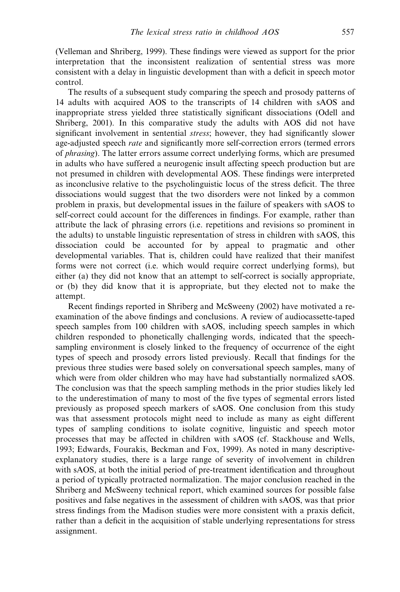(Velleman and Shriberg, 1999). These findings were viewed as support for the prior interpretation that the inconsistent realization of sentential stress was more consistent with a delay in linguistic development than with a deficit in speech motor control.

The results of a subsequent study comparing the speech and prosody patterns of 14 adults with acquired AOS to the transcripts of 14 children with sAOS and inappropriate stress yielded three statistically significant dissociations (Odell and Shriberg, 2001). In this comparative study the adults with AOS did not have significant involvement in sentential stress; however, they had significantly slower age-adjusted speech *rate* and significantly more self-correction errors (termed errors of phrasing). The latter errors assume correct underlying forms, which are presumed in adults who have suffered a neurogenic insult affecting speech production but are not presumed in children with developmental AOS. These findings were interpreted as inconclusive relative to the psycholinguistic locus of the stress deficit. The three dissociations would suggest that the two disorders were not linked by a common problem in praxis, but developmental issues in the failure of speakers with sAOS to self-correct could account for the differences in findings. For example, rather than attribute the lack of phrasing errors (i.e. repetitions and revisions so prominent in the adults) to unstable linguistic representation of stress in children with sAOS, this dissociation could be accounted for by appeal to pragmatic and other developmental variables. That is, children could have realized that their manifest forms were not correct (i.e. which would require correct underlying forms), but either (a) they did not know that an attempt to self-correct is socially appropriate, or (b) they did know that it is appropriate, but they elected not to make the attempt.

Recent findings reported in Shriberg and McSweeny (2002) have motivated a reexamination of the above findings and conclusions. A review of audiocassette-taped speech samples from 100 children with sAOS, including speech samples in which children responded to phonetically challenging words, indicated that the speechsampling environment is closely linked to the frequency of occurrence of the eight types of speech and prosody errors listed previously. Recall that findings for the previous three studies were based solely on conversational speech samples, many of which were from older children who may have had substantially normalized sAOS. The conclusion was that the speech sampling methods in the prior studies likely led to the underestimation of many to most of the five types of segmental errors listed previously as proposed speech markers of sAOS. One conclusion from this study was that assessment protocols might need to include as many as eight different types of sampling conditions to isolate cognitive, linguistic and speech motor processes that may be affected in children with sAOS (cf. Stackhouse and Wells, 1993; Edwards, Fourakis, Beckman and Fox, 1999). As noted in many descriptiveexplanatory studies, there is a large range of severity of involvement in children with sAOS, at both the initial period of pre-treatment identification and throughout a period of typically protracted normalization. The major conclusion reached in the Shriberg and McSweeny technical report, which examined sources for possible false positives and false negatives in the assessment of children with sAOS, was that prior stress findings from the Madison studies were more consistent with a praxis deficit, rather than a deficit in the acquisition of stable underlying representations for stress assignment.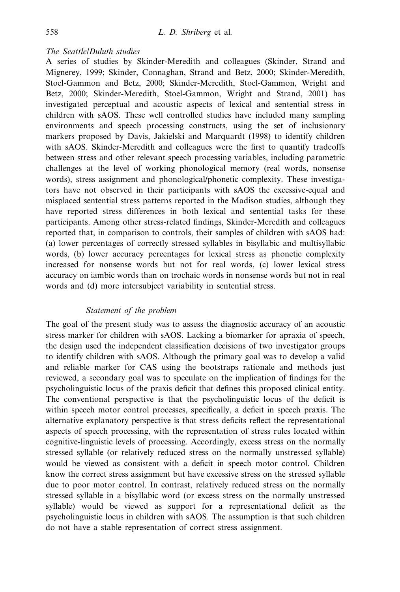# The Seattle/Duluth studies

A series of studies by Skinder-Meredith and colleagues (Skinder, Strand and Mignerey, 1999; Skinder, Connaghan, Strand and Betz, 2000; Skinder-Meredith, Stoel-Gammon and Betz, 2000; Skinder-Meredith, Stoel-Gammon, Wright and Betz, 2000; Skinder-Meredith, Stoel-Gammon, Wright and Strand, 2001) has investigated perceptual and acoustic aspects of lexical and sentential stress in children with sAOS. These well controlled studies have included many sampling environments and speech processing constructs, using the set of inclusionary markers proposed by Davis, Jakielski and Marquardt (1998) to identify children with sAOS. Skinder-Meredith and colleagues were the first to quantify tradeoffs between stress and other relevant speech processing variables, including parametric challenges at the level of working phonological memory (real words, nonsense words), stress assignment and phonological/phonetic complexity. These investigators have not observed in their participants with sAOS the excessive-equal and misplaced sentential stress patterns reported in the Madison studies, although they have reported stress differences in both lexical and sentential tasks for these participants. Among other stress-related findings, Skinder-Meredith and colleagues reported that, in comparison to controls, their samples of children with sAOS had: (a) lower percentages of correctly stressed syllables in bisyllabic and multisyllabic words, (b) lower accuracy percentages for lexical stress as phonetic complexity increased for nonsense words but not for real words, (c) lower lexical stress accuracy on iambic words than on trochaic words in nonsense words but not in real words and (d) more intersubject variability in sentential stress.

# Statement of the problem

The goal of the present study was to assess the diagnostic accuracy of an acoustic stress marker for children with sAOS. Lacking a biomarker for apraxia of speech, the design used the independent classification decisions of two investigator groups to identify children with sAOS. Although the primary goal was to develop a valid and reliable marker for CAS using the bootstraps rationale and methods just reviewed, a secondary goal was to speculate on the implication of findings for the psycholinguistic locus of the praxis deficit that defines this proposed clinical entity. The conventional perspective is that the psycholinguistic locus of the deficit is within speech motor control processes, specifically, a deficit in speech praxis. The alternative explanatory perspective is that stress deficits reflect the representational aspects of speech processing, with the representation of stress rules located within cognitive-linguistic levels of processing. Accordingly, excess stress on the normally stressed syllable (or relatively reduced stress on the normally unstressed syllable) would be viewed as consistent with a deficit in speech motor control. Children know the correct stress assignment but have excessive stress on the stressed syllable due to poor motor control. In contrast, relatively reduced stress on the normally stressed syllable in a bisyllabic word (or excess stress on the normally unstressed syllable) would be viewed as support for a representational deficit as the psycholinguistic locus in children with sAOS. The assumption is that such children do not have a stable representation of correct stress assignment.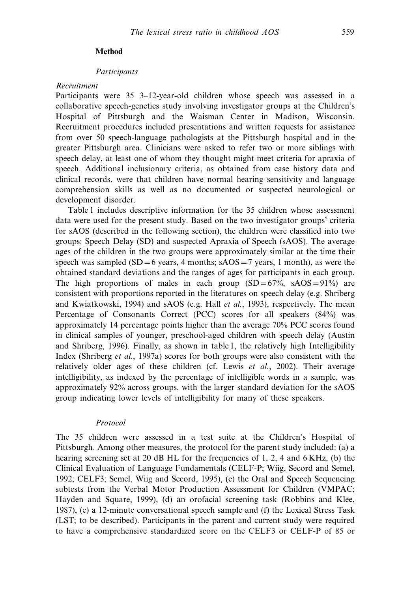# **Method**

# Participants

# Recruitment

Participants were 35 3–12-year-old children whose speech was assessed in a collaborative speech-genetics study involving investigator groups at the Children's Hospital of Pittsburgh and the Waisman Center in Madison, Wisconsin. Recruitment procedures included presentations and written requests for assistance from over 50 speech-language pathologists at the Pittsburgh hospital and in the greater Pittsburgh area. Clinicians were asked to refer two or more siblings with speech delay, at least one of whom they thought might meet criteria for apraxia of speech. Additional inclusionary criteria, as obtained from case history data and clinical records, were that children have normal hearing sensitivity and language comprehension skills as well as no documented or suspected neurological or development disorder.

Table 1 includes descriptive information for the 35 children whose assessment data were used for the present study. Based on the two investigator groups' criteria for sAOS (described in the following section), the children were classified into two groups: Speech Delay (SD) and suspected Apraxia of Speech (sAOS). The average ages of the children in the two groups were approximately similar at the time their speech was sampled (SD = 6 years, 4 months; sAOS = 7 years, 1 month), as were the obtained standard deviations and the ranges of ages for participants in each group. The high proportions of males in each group  $(SD = 67\% , SAOS = 91\%)$  are consistent with proportions reported in the literatures on speech delay (e.g. Shriberg and Kwiatkowski, 1994) and sAOS (e.g. Hall *et al.*, 1993), respectively. The mean Percentage of Consonants Correct (PCC) scores for all speakers (84%) was approximately 14 percentage points higher than the average 70% PCC scores found in clinical samples of younger, preschool-aged children with speech delay (Austin and Shriberg, 1996). Finally, as shown in table 1, the relatively high Intelligibility Index (Shriberg et al., 1997a) scores for both groups were also consistent with the relatively older ages of these children (cf. Lewis et al., 2002). Their average intelligibility, as indexed by the percentage of intelligible words in a sample, was approximately 92% across groups, with the larger standard deviation for the sAOS group indicating lower levels of intelligibility for many of these speakers.

## Protocol

The 35 children were assessed in a test suite at the Children's Hospital of Pittsburgh. Among other measures, the protocol for the parent study included: (a) a hearing screening set at 20 dB HL for the frequencies of 1, 2, 4 and 6 KHz, (b) the Clinical Evaluation of Language Fundamentals (CELF-P; Wiig, Secord and Semel, 1992; CELF3; Semel, Wiig and Secord, 1995), (c) the Oral and Speech Sequencing subtests from the Verbal Motor Production Assessment for Children (VMPAC; Hayden and Square, 1999), (d) an orofacial screening task (Robbins and Klee, 1987), (e) a 12-minute conversational speech sample and (f) the Lexical Stress Task (LST; to be described). Participants in the parent and current study were required to have a comprehensive standardized score on the CELF3 or CELF-P of 85 or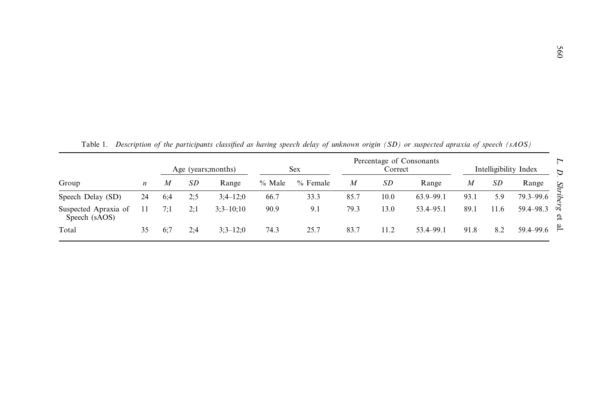|                                       |                  |     |           | Age (years; months) |        | <b>Sex</b> |      | Correct | Percentage of Consonants | Intelligibility Index |           |                       |
|---------------------------------------|------------------|-----|-----------|---------------------|--------|------------|------|---------|--------------------------|-----------------------|-----------|-----------------------|
| Group                                 | $\boldsymbol{n}$ | M   | <i>SD</i> | Range               | % Male | % Female   | M    | SD      | Range                    | M                     | <i>SD</i> | Range                 |
| Speech Delay (SD)                     | 24               | 6:4 | 2:5       | $3:4-12:0$          | 66.7   | 33.3       | 85.7 | 10.0    | $63.9 - 99.1$            | 93.1                  | 5.9       | $79.3 - 99.6$         |
| Suspected Apraxia of<br>Speech (sAOS) |                  | 7:1 | 2:1       | $3:3-10:10$         | 90.9   | 9.1        | 79.3 | 13.0    | 53.4–95.1                | 89.1                  | 11.6      | 59.4-98.3<br>$\alpha$ |
| Total                                 | 35               | 6:7 | 2:4       | $3:3-12:0$          | 74.3   | 25.7       | 83.7 | 11.2    | 53.4-99.1                | 91.8                  | 8.2       | 59.4–99.6             |

Table 1. Description of the participants classified as having speech delay of unknown origin (SD) or suspected apraxia of speech (sAOS)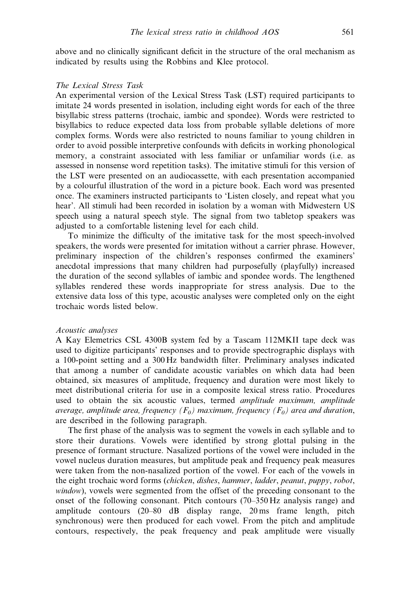above and no clinically significant deficit in the structure of the oral mechanism as indicated by results using the Robbins and Klee protocol.

# The Lexical Stress Task

An experimental version of the Lexical Stress Task (LST) required participants to imitate 24 words presented in isolation, including eight words for each of the three bisyllabic stress patterns (trochaic, iambic and spondee). Words were restricted to bisyllabics to reduce expected data loss from probable syllable deletions of more complex forms. Words were also restricted to nouns familiar to young children in order to avoid possible interpretive confounds with deficits in working phonological memory, a constraint associated with less familiar or unfamiliar words (i.e. as assessed in nonsense word repetition tasks). The imitative stimuli for this version of the LST were presented on an audiocassette, with each presentation accompanied by a colourful illustration of the word in a picture book. Each word was presented once. The examiners instructed participants to 'Listen closely, and repeat what you hear'. All stimuli had been recorded in isolation by a woman with Midwestern US speech using a natural speech style. The signal from two tabletop speakers was adjusted to a comfortable listening level for each child.

To minimize the difficulty of the imitative task for the most speech-involved speakers, the words were presented for imitation without a carrier phrase. However, preliminary inspection of the children's responses confirmed the examiners' anecdotal impressions that many children had purposefully (playfully) increased the duration of the second syllables of iambic and spondee words. The lengthened syllables rendered these words inappropriate for stress analysis. Due to the extensive data loss of this type, acoustic analyses were completed only on the eight trochaic words listed below.

# Acoustic analyses

A Kay Elemetrics CSL 4300B system fed by a Tascam 112MKII tape deck was used to digitize participants' responses and to provide spectrographic displays with a 100-point setting and a 300 Hz bandwidth filter. Preliminary analyses indicated that among a number of candidate acoustic variables on which data had been obtained, six measures of amplitude, frequency and duration were most likely to meet distributional criteria for use in a composite lexical stress ratio. Procedures used to obtain the six acoustic values, termed *amplitude maximum, amplitude* average, amplitude area, frequency ( $F_0$ ) maximum, frequency ( $F_0$ ) area and duration, are described in the following paragraph.

The first phase of the analysis was to segment the vowels in each syllable and to store their durations. Vowels were identified by strong glottal pulsing in the presence of formant structure. Nasalized portions of the vowel were included in the vowel nucleus duration measures, but amplitude peak and frequency peak measures were taken from the non-nasalized portion of the vowel. For each of the vowels in the eight trochaic word forms (chicken, dishes, hammer, ladder, peanut, puppy, robot, window), vowels were segmented from the offset of the preceding consonant to the onset of the following consonant. Pitch contours (70–350 Hz analysis range) and amplitude contours (20–80 dB display range, 20 ms frame length, pitch synchronous) were then produced for each vowel. From the pitch and amplitude contours, respectively, the peak frequency and peak amplitude were visually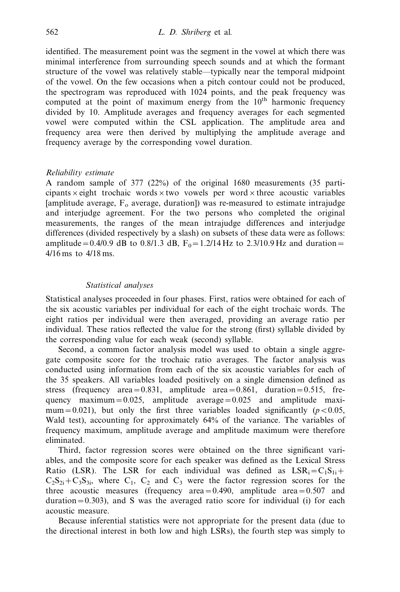identified. The measurement point was the segment in the vowel at which there was minimal interference from surrounding speech sounds and at which the formant structure of the vowel was relatively stable—typically near the temporal midpoint of the vowel. On the few occasions when a pitch contour could not be produced, the spectrogram was reproduced with 1024 points, and the peak frequency was computed at the point of maximum energy from the  $10<sup>th</sup>$  harmonic frequency divided by 10. Amplitude averages and frequency averages for each segmented vowel were computed within the CSL application. The amplitude area and frequency area were then derived by multiplying the amplitude average and frequency average by the corresponding vowel duration.

# Reliability estimate

A random sample of 377 (22%) of the original 1680 measurements (35 participants $\times$ eight trochaic words $\times$ two vowels per word $\times$ three acoustic variables [amplitude average,  $F_0$  average, duration]) was re-measured to estimate intrajudge and interjudge agreement. For the two persons who completed the original measurements, the ranges of the mean intrajudge differences and interjudge differences (divided respectively by a slash) on subsets of these data were as follows: amplitude = 0.4/0.9 dB to 0.8/1.3 dB,  $F_0 = 1.2/14$  Hz to 2.3/10.9 Hz and duration = 4/16 ms to 4/18 ms.

# Statistical analyses

Statistical analyses proceeded in four phases. First, ratios were obtained for each of the six acoustic variables per individual for each of the eight trochaic words. The eight ratios per individual were then averaged, providing an average ratio per individual. These ratios reflected the value for the strong (first) syllable divided by the corresponding value for each weak (second) syllable.

Second, a common factor analysis model was used to obtain a single aggregate composite score for the trochaic ratio averages. The factor analysis was conducted using information from each of the six acoustic variables for each of the 35 speakers. All variables loaded positively on a single dimension defined as stress (frequency area $=0.831$ , amplitude area $=0.861$ , duration $=0.515$ , frequency maximum $=0.025$ , amplitude average $=0.025$  and amplitude maximum=0.021), but only the first three variables loaded significantly ( $p < 0.05$ , Wald test), accounting for approximately 64% of the variance. The variables of frequency maximum, amplitude average and amplitude maximum were therefore eliminated.

Third, factor regression scores were obtained on the three significant variables, and the composite score for each speaker was defined as the Lexical Stress Ratio (LSR). The LSR for each individual was defined as  $LSR_i = C_1S_{1i} + C_2S_{2i}$  $C_2S_{2i}+C_3S_{3i}$ , where  $C_1$ ,  $C_2$  and  $C_3$  were the factor regression scores for the three acoustic measures (frequency area $=0.490$ , amplitude area $=0.507$  and duration  $(0.303)$ , and S was the averaged ratio score for individual (i) for each acoustic measure.

Because inferential statistics were not appropriate for the present data (due to the directional interest in both low and high LSRs), the fourth step was simply to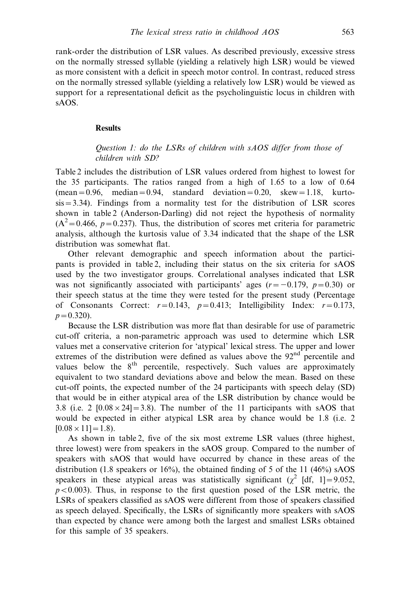rank-order the distribution of LSR values. As described previously, excessive stress on the normally stressed syllable (yielding a relatively high LSR) would be viewed as more consistent with a deficit in speech motor control. In contrast, reduced stress on the normally stressed syllable (yielding a relatively low LSR) would be viewed as support for a representational deficit as the psycholinguistic locus in children with sAOS.

#### Results

# Question 1: do the LSRs of children with sAOS differ from those of children with SD?

Table 2 includes the distribution of LSR values ordered from highest to lowest for the 35 participants. The ratios ranged from a high of 1.65 to a low of 0.64  $(mean = 0.96, median = 0.94, standard deviation = 0.20, skew = 1.18, kurto$  $sis = 3.34$ ). Findings from a normality test for the distribution of LSR scores shown in table 2 (Anderson-Darling) did not reject the hypothesis of normality  $(A<sup>2</sup>=0.466, p=0.237)$ . Thus, the distribution of scores met criteria for parametric analysis, although the kurtosis value of 3.34 indicated that the shape of the LSR distribution was somewhat flat.

Other relevant demographic and speech information about the participants is provided in table 2, including their status on the six criteria for sAOS used by the two investigator groups. Correlational analyses indicated that LSR was not significantly associated with participants' ages  $(r=-0.179, p=0.30)$  or their speech status at the time they were tested for the present study (Percentage of Consonants Correct:  $r=0.143$ ,  $p=0.413$ ; Intelligibility Index:  $r=0.173$ ,  $p=0.320$ ).

Because the LSR distribution was more flat than desirable for use of parametric cut-off criteria, a non-parametric approach was used to determine which LSR values met a conservative criterion for 'atypical' lexical stress. The upper and lower extremes of the distribution were defined as values above the  $92<sup>nd</sup>$  percentile and values below the  $8<sup>th</sup>$  percentile, respectively. Such values are approximately equivalent to two standard deviations above and below the mean. Based on these cut-off points, the expected number of the 24 participants with speech delay (SD) that would be in either atypical area of the LSR distribution by chance would be 3.8 (i.e. 2 [0.08  $\times$  24] = 3.8). The number of the 11 participants with sAOS that would be expected in either atypical LSR area by chance would be 1.8 (i.e. 2  $[0.08 \times 11] = 1.8$ .

As shown in table 2, five of the six most extreme LSR values (three highest, three lowest) were from speakers in the sAOS group. Compared to the number of speakers with sAOS that would have occurred by chance in these areas of the distribution (1.8 speakers or 16%), the obtained finding of 5 of the 11 (46%) sAOS speakers in these atypical areas was statistically significant  $(\chi^2 \text{ [df, 1]} = 9.052,$  $p<0.003$ ). Thus, in response to the first question posed of the LSR metric, the LSRs of speakers classified as sAOS were different from those of speakers classified as speech delayed. Specifically, the LSRs of significantly more speakers with sAOS than expected by chance were among both the largest and smallest LSRs obtained for this sample of 35 speakers.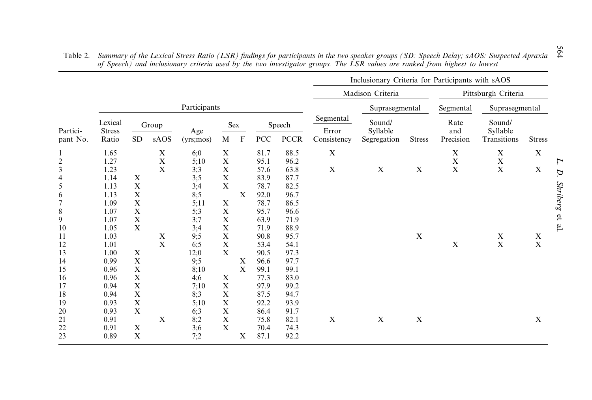|                               |                            |                            |                            |                   |                            |                    |                              |                      |                                   |                                   |                     | Inclusionary Criteria for Participants with sAOS |                                   |               |  |  |
|-------------------------------|----------------------------|----------------------------|----------------------------|-------------------|----------------------------|--------------------|------------------------------|----------------------|-----------------------------------|-----------------------------------|---------------------|--------------------------------------------------|-----------------------------------|---------------|--|--|
| Partici-<br>pant No.          |                            |                            |                            |                   |                            |                    |                              |                      |                                   | Madison Criteria                  | Pittsburgh Criteria |                                                  |                                   |               |  |  |
|                               |                            |                            |                            | Participants      |                            |                    |                              |                      |                                   | Suprasegmental                    |                     | Segmental                                        | Suprasegmental                    |               |  |  |
|                               | Lexical<br>Stress<br>Ratio | <b>SD</b>                  | Group<br>sAOS              | Age<br>(yrs;mos)  | $\mathbf M$                | Sex<br>$\mathbf F$ | Speech<br>PCC<br><b>PCCR</b> |                      | Segmental<br>Error<br>Consistency | Sound/<br>Syllable<br>Segregation | <b>Stress</b>       | Rate<br>and<br>Precision                         | Sound/<br>Syllable<br>Transitions | <b>Stress</b> |  |  |
| $\overline{\mathbf{c}}$       | 1.65<br>1.27               |                            | $\mathbf X$<br>$\mathbf X$ | 6;0<br>5;10       | $\mathbf X$<br>$\mathbf X$ |                    | 81.7<br>95.1                 | 88.5<br>96.2         | $\mathbf X$                       |                                   |                     | $\mathbf X$<br>$\mathbf X$                       | $\mathbf X$<br>$\mathbf X$        | $\mathbf X$   |  |  |
| $\overline{\mathbf{3}}$       | 1.23                       |                            | $\mathbf X$                | 3:3               | $\mathbf X$                |                    | 57.6                         | 63.8                 | $\mathbf X$                       | X                                 | $\mathbf X$         | $\mathbf X$                                      | $\mathbf X$                       | $\mathbf X$   |  |  |
| $\overline{\mathcal{A}}$<br>5 | 1.14<br>1.13               | $\mathbf X$<br>$\mathbf X$ |                            | 3;5<br>3;4        | $\mathbf X$<br>$\mathbf X$ |                    | 83.9<br>78.7                 | 87.7<br>82.5         |                                   |                                   |                     |                                                  |                                   |               |  |  |
| 6<br>$\sqrt{ }$               | 1.13<br>1.09               | $\mathbf X$<br>$\mathbf X$ |                            | 8;5<br>5;11       | $\mathbf X$                | X                  | 92.0<br>78.7                 | 96.7<br>86.5         |                                   |                                   |                     |                                                  |                                   |               |  |  |
| $\,$ 8 $\,$<br>9              | 1.07<br>1.07               | $\mathbf X$<br>$\mathbf X$ |                            | 5;3<br>3;7        | $\mathbf X$<br>X           |                    | 95.7<br>63.9                 | 96.6<br>71.9         |                                   |                                   |                     |                                                  |                                   |               |  |  |
| 10<br>11                      | 1.05<br>1.03               | $\mathbf X$                | $\boldsymbol{\mathrm{X}}$  | 3;4<br>9:5        | $\mathbf X$<br>$\mathbf X$ |                    | 71.9<br>90.8                 | 88.9<br>95.7         |                                   |                                   | X                   |                                                  | $\mathbf X$                       | $\mathbf X$   |  |  |
| 12<br>13                      | 1.01<br>1.00               | $\mathbf X$                | $\bf X$                    | 6;5<br>12;0       | $\mathbf X$<br>$\mathbf X$ |                    | 53.4<br>90.5                 | 54.1<br>97.3         |                                   |                                   |                     | X                                                | $\bar{X}$                         | $\bf{X}$      |  |  |
| 14<br>15                      | 0.99<br>0.96               | $\mathbf X$<br>$\mathbf X$ |                            | 9:5<br>8;10       |                            | X<br>X             | 96.6<br>99.1                 | 97.7<br>99.1         |                                   |                                   |                     |                                                  |                                   |               |  |  |
| 16<br>17                      | 0.96<br>0.94               | $\mathbf X$<br>$\mathbf X$ |                            | 4;6<br>7:10       | $\mathbf X$<br>$\bf{X}$    |                    | 77.3<br>97.9                 | 83.0<br>99.2         |                                   |                                   |                     |                                                  |                                   |               |  |  |
| 18                            | 0.94<br>0.93               | $\mathbf X$<br>$\mathbf X$ |                            | 8;3               | $\mathbf X$<br>$\mathbf X$ |                    | 87.5<br>92.2                 | 94.7<br>93.9         |                                   |                                   |                     |                                                  |                                   |               |  |  |
| 19<br>20                      | 0.93                       | $\mathbf X$                |                            | 5;10<br>6;3       | $\mathbf X$                |                    | 86.4                         | 91.7                 |                                   |                                   |                     |                                                  |                                   |               |  |  |
| 21<br>22<br>23                | 0.91<br>0.91<br>0.89       | $\mathbf X$<br>$\mathbf X$ | X                          | 8:2<br>3;6<br>7:2 | $\mathbf X$<br>$\mathbf X$ | X                  | 75.8<br>70.4<br>87.1         | 82.1<br>74.3<br>92.2 | $\mathbf X$                       | $\mathbf X$                       | $\mathbf X$         |                                                  |                                   | $\mathbf X$   |  |  |

Table 2. Summary of the Lexical Stress Ratio (LSR) findings for participants in the two speaker groups (SD: Speech Delay; sAOS: Suspected Apraxia of Speech) and inclusionary criteria used by the two investigator groups. The LSR values are ranked from highest to lowest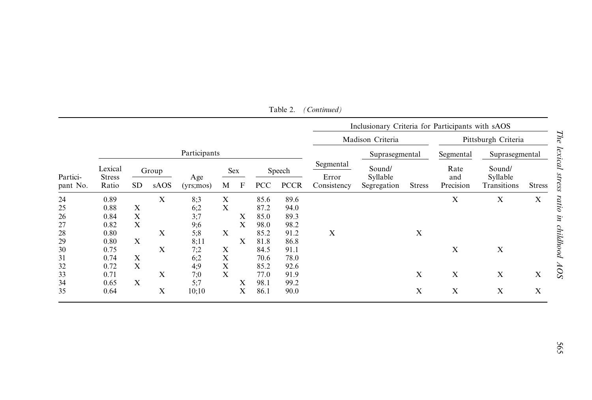|                      |                                   |                   |           |              |             |        |             |                    | Inclusionary Criteria for Participants with sAOS |                  |                |                     |                |             |  |  |  |
|----------------------|-----------------------------------|-------------------|-----------|--------------|-------------|--------|-------------|--------------------|--------------------------------------------------|------------------|----------------|---------------------|----------------|-------------|--|--|--|
| Partici-<br>pant No. |                                   |                   |           |              |             |        |             |                    |                                                  | Madison Criteria |                | Pittsburgh Criteria |                |             |  |  |  |
|                      |                                   |                   |           | Participants |             |        |             |                    |                                                  |                  | Suprasegmental |                     | Suprasegmental |             |  |  |  |
|                      | Lexical<br>Group<br><b>Stress</b> |                   | Age       | <b>Sex</b>   |             | Speech |             | Segmental<br>Error | Sound/<br>Syllable                               |                  | Rate<br>and    | Sound/<br>Syllable  |                |             |  |  |  |
|                      | Ratio                             | <b>SD</b><br>sAOS | (yrs;mos) | M            | F           | PCC    | <b>PCCR</b> | Consistency        | Segregation                                      | <b>Stress</b>    | Precision      | Transitions         | <b>Stress</b>  |             |  |  |  |
| 24                   | 0.89                              |                   | X         | 8:3          | X           |        | 85.6        | 89.6               |                                                  |                  |                | X                   | X              | $\mathbf X$ |  |  |  |
| 25                   | 0.88                              | X                 |           | 6:2          | $\mathbf x$ |        | 87.2        | 94.0               |                                                  |                  |                |                     |                |             |  |  |  |
| 26                   | 0.84                              | X                 |           | 3:7          |             | X      | 85.0        | 89.3               |                                                  |                  |                |                     |                |             |  |  |  |
| 27                   | 0.82                              | $\mathbf{X}$      |           | 9;6          |             | X      | 98.0        | 98.2               |                                                  |                  |                |                     |                |             |  |  |  |
| 28                   | 0.80                              |                   | X         | 5;8          | X           |        | 85.2        | 91.2               | X                                                |                  | X              |                     |                |             |  |  |  |
| 29                   | 0.80                              | X                 |           | 8:11         |             | X      | 81.8        | 86.8               |                                                  |                  |                |                     |                |             |  |  |  |
| 30                   | 0.75                              |                   | X         | 7:2          | X           |        | 84.5        | 91.1               |                                                  |                  |                | X                   | X              |             |  |  |  |
| 31                   | 0.74                              | X                 |           | 6:2          | X           |        | 70.6        | 78.0               |                                                  |                  |                |                     |                |             |  |  |  |
| 32                   | 0.72                              | $\mathbf X$       |           | 4;9          | X           |        | 85.2        | 92.6               |                                                  |                  |                |                     |                |             |  |  |  |
| 33                   | 0.71                              |                   | X         | 7:0          | $\mathbf x$ |        | 77.0        | 91.9               |                                                  |                  | X              | X                   | X              | X           |  |  |  |
| 34                   | 0.65                              | X                 |           | 5:7          |             | X      | 98.1        | 99.2               |                                                  |                  |                |                     |                |             |  |  |  |
| 35                   | 0.64                              |                   | X         | 10;10        |             | X      | 86.1        | 90.0               |                                                  |                  | X              | X                   | X              | X           |  |  |  |

Table 2. (Continued)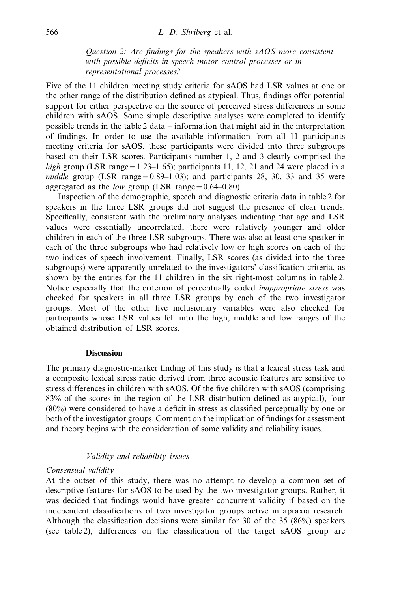Question 2: Are findings for the speakers with sAOS more consistent with possible deficits in speech motor control processes or in representational processes?

Five of the 11 children meeting study criteria for sAOS had LSR values at one or the other range of the distribution defined as atypical. Thus, findings offer potential support for either perspective on the source of perceived stress differences in some children with sAOS. Some simple descriptive analyses were completed to identify possible trends in the table 2 data – information that might aid in the interpretation of findings. In order to use the available information from all 11 participants meeting criteria for sAOS, these participants were divided into three subgroups based on their LSR scores. Participants number 1, 2 and 3 clearly comprised the high group (LSR range =  $1.23-1.65$ ); participants 11, 12, 21 and 24 were placed in a middle group (LSR range $=0.89-1.03$ ); and participants 28, 30, 33 and 35 were aggregated as the *low* group (LSR range  $= 0.64 - 0.80$ ).

Inspection of the demographic, speech and diagnostic criteria data in table 2 for speakers in the three LSR groups did not suggest the presence of clear trends. Specifically, consistent with the preliminary analyses indicating that age and LSR values were essentially uncorrelated, there were relatively younger and older children in each of the three LSR subgroups. There was also at least one speaker in each of the three subgroups who had relatively low or high scores on each of the two indices of speech involvement. Finally, LSR scores (as divided into the three subgroups) were apparently unrelated to the investigators' classification criteria, as shown by the entries for the 11 children in the six right-most columns in table 2. Notice especially that the criterion of perceptually coded inappropriate stress was checked for speakers in all three LSR groups by each of the two investigator groups. Most of the other five inclusionary variables were also checked for participants whose LSR values fell into the high, middle and low ranges of the obtained distribution of LSR scores.

#### **Discussion**

The primary diagnostic-marker finding of this study is that a lexical stress task and a composite lexical stress ratio derived from three acoustic features are sensitive to stress differences in children with sAOS. Of the five children with sAOS (comprising 83% of the scores in the region of the LSR distribution defined as atypical), four (80%) were considered to have a deficit in stress as classified perceptually by one or both of the investigator groups. Comment on the implication of findings for assessment and theory begins with the consideration of some validity and reliability issues.

## Validity and reliability issues

#### Consensual validity

At the outset of this study, there was no attempt to develop a common set of descriptive features for sAOS to be used by the two investigator groups. Rather, it was decided that findings would have greater concurrent validity if based on the independent classifications of two investigator groups active in apraxia research. Although the classification decisions were similar for 30 of the 35 (86%) speakers (see table 2), differences on the classification of the target sAOS group are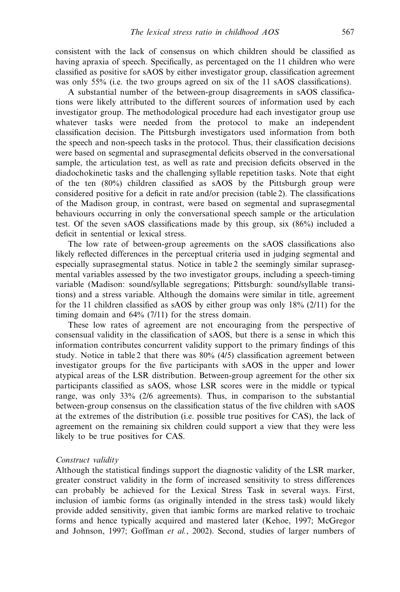consistent with the lack of consensus on which children should be classified as having apraxia of speech. Specifically, as percentaged on the 11 children who were classified as positive for sAOS by either investigator group, classification agreement was only 55% (i.e. the two groups agreed on six of the 11 sAOS classifications).

A substantial number of the between-group disagreements in sAOS classifications were likely attributed to the different sources of information used by each investigator group. The methodological procedure had each investigator group use whatever tasks were needed from the protocol to make an independent classification decision. The Pittsburgh investigators used information from both the speech and non-speech tasks in the protocol. Thus, their classification decisions were based on segmental and suprasegmental deficits observed in the conversational sample, the articulation test, as well as rate and precision deficits observed in the diadochokinetic tasks and the challenging syllable repetition tasks. Note that eight of the ten (80%) children classified as sAOS by the Pittsburgh group were considered positive for a deficit in rate and/or precision (table 2). The classifications of the Madison group, in contrast, were based on segmental and suprasegmental behaviours occurring in only the conversational speech sample or the articulation test. Of the seven sAOS classifications made by this group, six (86%) included a deficit in sentential or lexical stress.

The low rate of between-group agreements on the sAOS classifications also likely reflected differences in the perceptual criteria used in judging segmental and especially suprasegmental status. Notice in table 2 the seemingly similar suprasegmental variables assessed by the two investigator groups, including a speech-timing variable (Madison: sound/syllable segregations; Pittsburgh: sound/syllable transitions) and a stress variable. Although the domains were similar in title, agreement for the 11 children classified as sAOS by either group was only 18% (2/11) for the timing domain and 64% (7/11) for the stress domain.

These low rates of agreement are not encouraging from the perspective of consensual validity in the classification of sAOS, but there is a sense in which this information contributes concurrent validity support to the primary findings of this study. Notice in table 2 that there was 80% (4/5) classification agreement between investigator groups for the five participants with sAOS in the upper and lower atypical areas of the LSR distribution. Between-group agreement for the other six participants classified as sAOS, whose LSR scores were in the middle or typical range, was only 33% (2/6 agreements). Thus, in comparison to the substantial between-group consensus on the classification status of the five children with sAOS at the extremes of the distribution (i.e. possible true positives for CAS), the lack of agreement on the remaining six children could support a view that they were less likely to be true positives for CAS.

## Construct validity

Although the statistical findings support the diagnostic validity of the LSR marker, greater construct validity in the form of increased sensitivity to stress differences can probably be achieved for the Lexical Stress Task in several ways. First, inclusion of iambic forms (as originally intended in the stress task) would likely provide added sensitivity, given that iambic forms are marked relative to trochaic forms and hence typically acquired and mastered later (Kehoe, 1997; McGregor and Johnson, 1997; Goffman et al., 2002). Second, studies of larger numbers of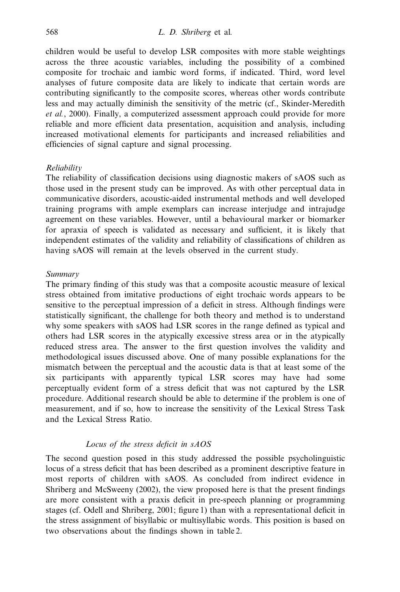children would be useful to develop LSR composites with more stable weightings across the three acoustic variables, including the possibility of a combined composite for trochaic and iambic word forms, if indicated. Third, word level analyses of future composite data are likely to indicate that certain words are contributing significantly to the composite scores, whereas other words contribute less and may actually diminish the sensitivity of the metric (cf., Skinder-Meredith et al., 2000). Finally, a computerized assessment approach could provide for more reliable and more efficient data presentation, acquisition and analysis, including increased motivational elements for participants and increased reliabilities and efficiencies of signal capture and signal processing.

#### Reliability

The reliability of classification decisions using diagnostic makers of sAOS such as those used in the present study can be improved. As with other perceptual data in communicative disorders, acoustic-aided instrumental methods and well developed training programs with ample exemplars can increase interjudge and intrajudge agreement on these variables. However, until a behavioural marker or biomarker for apraxia of speech is validated as necessary and sufficient, it is likely that independent estimates of the validity and reliability of classifications of children as having sAOS will remain at the levels observed in the current study.

# Summary

The primary finding of this study was that a composite acoustic measure of lexical stress obtained from imitative productions of eight trochaic words appears to be sensitive to the perceptual impression of a deficit in stress. Although findings were statistically significant, the challenge for both theory and method is to understand why some speakers with sAOS had LSR scores in the range defined as typical and others had LSR scores in the atypically excessive stress area or in the atypically reduced stress area. The answer to the first question involves the validity and methodological issues discussed above. One of many possible explanations for the mismatch between the perceptual and the acoustic data is that at least some of the six participants with apparently typical LSR scores may have had some perceptually evident form of a stress deficit that was not captured by the LSR procedure. Additional research should be able to determine if the problem is one of measurement, and if so, how to increase the sensitivity of the Lexical Stress Task and the Lexical Stress Ratio.

# Locus of the stress deficit in sAOS

The second question posed in this study addressed the possible psycholinguistic locus of a stress deficit that has been described as a prominent descriptive feature in most reports of children with sAOS. As concluded from indirect evidence in Shriberg and McSweeny (2002), the view proposed here is that the present findings are more consistent with a praxis deficit in pre-speech planning or programming stages (cf. Odell and Shriberg, 2001; figure 1) than with a representational deficit in the stress assignment of bisyllabic or multisyllabic words. This position is based on two observations about the findings shown in table 2.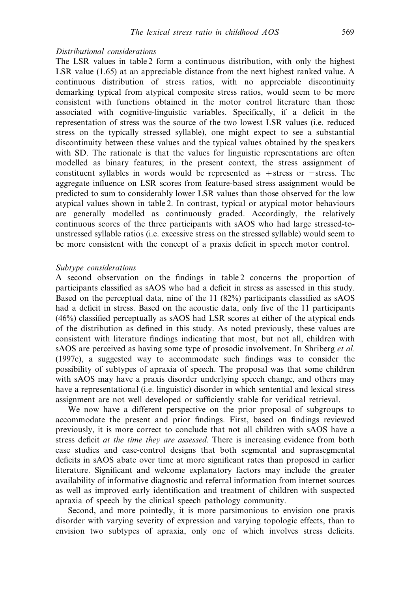## Distributional considerations

The LSR values in table 2 form a continuous distribution, with only the highest LSR value (1.65) at an appreciable distance from the next highest ranked value. A continuous distribution of stress ratios, with no appreciable discontinuity demarking typical from atypical composite stress ratios, would seem to be more consistent with functions obtained in the motor control literature than those associated with cognitive-linguistic variables. Specifically, if a deficit in the representation of stress was the source of the two lowest LSR values (i.e. reduced stress on the typically stressed syllable), one might expect to see a substantial discontinuity between these values and the typical values obtained by the speakers with SD. The rationale is that the values for linguistic representations are often modelled as binary features; in the present context, the stress assignment of constituent syllables in words would be represented as  $+$ stress or  $-$ stress. The aggregate influence on LSR scores from feature-based stress assignment would be predicted to sum to considerably lower LSR values than those observed for the low atypical values shown in table 2. In contrast, typical or atypical motor behaviours are generally modelled as continuously graded. Accordingly, the relatively continuous scores of the three participants with sAOS who had large stressed-tounstressed syllable ratios (i.e. excessive stress on the stressed syllable) would seem to be more consistent with the concept of a praxis deficit in speech motor control.

#### Subtype considerations

A second observation on the findings in table 2 concerns the proportion of participants classified as sAOS who had a deficit in stress as assessed in this study. Based on the perceptual data, nine of the 11 (82%) participants classified as sAOS had a deficit in stress. Based on the acoustic data, only five of the 11 participants (46%) classified perceptually as sAOS had LSR scores at either of the atypical ends of the distribution as defined in this study. As noted previously, these values are consistent with literature findings indicating that most, but not all, children with sAOS are perceived as having some type of prosodic involvement. In Shriberg et al. (1997c), a suggested way to accommodate such findings was to consider the possibility of subtypes of apraxia of speech. The proposal was that some children with sAOS may have a praxis disorder underlying speech change, and others may have a representational (i.e. linguistic) disorder in which sentential and lexical stress assignment are not well developed or sufficiently stable for veridical retrieval.

We now have a different perspective on the prior proposal of subgroups to accommodate the present and prior findings. First, based on findings reviewed previously, it is more correct to conclude that not all children with sAOS have a stress deficit at the time they are assessed. There is increasing evidence from both case studies and case-control designs that both segmental and suprasegmental deficits in sAOS abate over time at more significant rates than proposed in earlier literature. Significant and welcome explanatory factors may include the greater availability of informative diagnostic and referral information from internet sources as well as improved early identification and treatment of children with suspected apraxia of speech by the clinical speech pathology community.

Second, and more pointedly, it is more parsimonious to envision one praxis disorder with varying severity of expression and varying topologic effects, than to envision two subtypes of apraxia, only one of which involves stress deficits.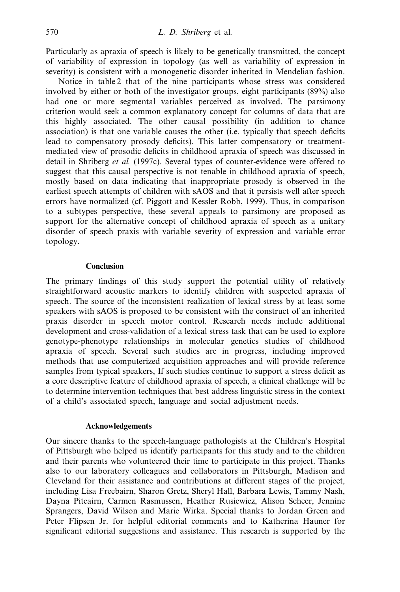Particularly as apraxia of speech is likely to be genetically transmitted, the concept of variability of expression in topology (as well as variability of expression in severity) is consistent with a monogenetic disorder inherited in Mendelian fashion.

Notice in table 2 that of the nine participants whose stress was considered involved by either or both of the investigator groups, eight participants (89%) also had one or more segmental variables perceived as involved. The parsimony criterion would seek a common explanatory concept for columns of data that are this highly associated. The other causal possibility (in addition to chance association) is that one variable causes the other (i.e. typically that speech deficits lead to compensatory prosody deficits). This latter compensatory or treatmentmediated view of prosodic deficits in childhood apraxia of speech was discussed in detail in Shriberg et al. (1997c). Several types of counter-evidence were offered to suggest that this causal perspective is not tenable in childhood apraxia of speech, mostly based on data indicating that inappropriate prosody is observed in the earliest speech attempts of children with sAOS and that it persists well after speech errors have normalized (cf. Piggott and Kessler Robb, 1999). Thus, in comparison to a subtypes perspective, these several appeals to parsimony are proposed as support for the alternative concept of childhood apraxia of speech as a unitary disorder of speech praxis with variable severity of expression and variable error topology.

#### **Conclusion**

The primary findings of this study support the potential utility of relatively straightforward acoustic markers to identify children with suspected apraxia of speech. The source of the inconsistent realization of lexical stress by at least some speakers with sAOS is proposed to be consistent with the construct of an inherited praxis disorder in speech motor control. Research needs include additional development and cross-validation of a lexical stress task that can be used to explore genotype-phenotype relationships in molecular genetics studies of childhood apraxia of speech. Several such studies are in progress, including improved methods that use computerized acquisition approaches and will provide reference samples from typical speakers, If such studies continue to support a stress deficit as a core descriptive feature of childhood apraxia of speech, a clinical challenge will be to determine intervention techniques that best address linguistic stress in the context of a child's associated speech, language and social adjustment needs.

#### Acknowledgements

Our sincere thanks to the speech-language pathologists at the Children's Hospital of Pittsburgh who helped us identify participants for this study and to the children and their parents who volunteered their time to participate in this project. Thanks also to our laboratory colleagues and collaborators in Pittsburgh, Madison and Cleveland for their assistance and contributions at different stages of the project, including Lisa Freebairn, Sharon Gretz, Sheryl Hall, Barbara Lewis, Tammy Nash, Dayna Pitcairn, Carmen Rasmussen, Heather Rusiewicz, Alison Scheer, Jennine Sprangers, David Wilson and Marie Wirka. Special thanks to Jordan Green and Peter Flipsen Jr. for helpful editorial comments and to Katherina Hauner for significant editorial suggestions and assistance. This research is supported by the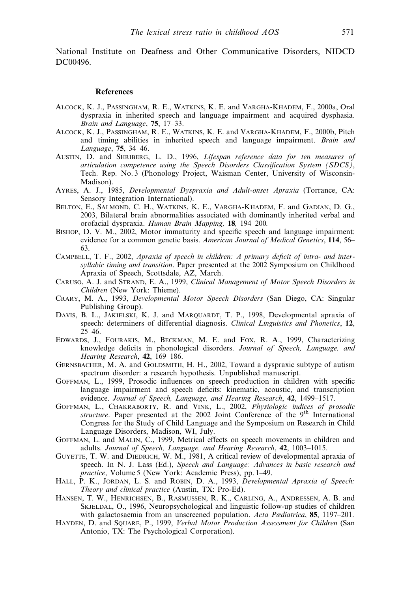National Institute on Deafness and Other Communicative Disorders, NIDCD DC00496.

#### References

- ALCOCK, K. J., PASSINGHAM, R. E., WATKINS, K. E. and VARGHA-KHADEM, F., 2000a, Oral dyspraxia in inherited speech and language impairment and acquired dysphasia. Brain and Language, 75, 17–33.
- ALCOCK, K. J., PASSINGHAM, R. E., WATKINS, K. E. and VARGHA-KHADEM, F., 2000b, Pitch and timing abilities in inherited speech and language impairment. Brain and Language, 75, 34–46.
- AUSTIN, D. and SHRIBERG, L. D., 1996, Lifespan reference data for ten measures of articulation competence using the Speech Disorders Classification System (SDCS), Tech. Rep. No. 3 (Phonology Project, Waisman Center, University of Wisconsin-Madison).
- AYRES, A. J., 1985, Developmental Dyspraxia and Adult-onset Apraxia (Torrance, CA: Sensory Integration International).
- BELTON, E., SALMOND, C. H., WATKINS, K. E., VARGHA-KHADEM, F. and GADIAN, D. G., 2003, Bilateral brain abnormalities associated with dominantly inherited verbal and orofacial dyspraxia. Human Brain Mapping, 18, 194–200.
- BISHOP, D. V. M., 2002, Motor immaturity and specific speech and language impairment: evidence for a common genetic basis. American Journal of Medical Genetics, 114, 56– 63.
- CAMPBELL, T. F., 2002, Apraxia of speech in children: A primary deficit of intra- and intersyllabic timing and transition. Paper presented at the 2002 Symposium on Childhood Apraxia of Speech, Scottsdale, AZ, March.
- CARUSO, A. J. and STRAND, E. A., 1999, Clinical Management of Motor Speech Disorders in Children (New York: Thieme).
- CRARY, M. A., 1993, Developmental Motor Speech Disorders (San Diego, CA: Singular Publishing Group).
- DAVIS, B. L., JAKIELSKI, K. J. and MARQUARDT, T. P., 1998, Developmental apraxia of speech: determiners of differential diagnosis. Clinical Linguistics and Phonetics, 12, 25–46.
- EDWARDS, J., FOURAKIS, M., BECKMAN, M. E. and FOX, R. A., 1999, Characterizing knowledge deficits in phonological disorders. Journal of Speech, Language, and Hearing Research, 42, 169–186.
- GERNSBACHER, M. A. and GOLDSMITH, H. H., 2002, Toward a dyspraxic subtype of autism spectrum disorder: a research hypothesis. Unpublished manuscript.
- GOFFMAN, L., 1999, Prosodic influences on speech production in children with specific language impairment and speech deficits: kinematic, acoustic, and transcription evidence. Journal of Speech, Language, and Hearing Research, 42, 1499–1517.
- GOFFMAN, L., CHAKRABORTY, R. and VINK, L., 2002, *Physiologic indices of prosodic structure*. Paper presented at the 2002 Joint Conference of the 9<sup>th</sup> International Congress for the Study of Child Language and the Symposium on Research in Child Language Disorders, Madison, WI, July.
- GOFFMAN, L. and MALIN, C., 1999, Metrical effects on speech movements in children and adults. Journal of Speech, Language, and Hearing Research, 42, 1003–1015.
- GUYETTE, T. W. and DIEDRICH, W. M., 1981, A critical review of developmental apraxia of speech. In N. J. Lass (Ed.), Speech and Language: Advances in basic research and practice, Volume 5 (New York: Academic Press), pp. 1–49.
- HALL, P. K., JORDAN, L. S. and ROBIN, D. A., 1993, Developmental Apraxia of Speech: Theory and clinical practice (Austin, TX: Pro-Ed).
- HANSEN, T. W., HENRICHSEN, B., RASMUSSEN, R. K., CARLING, A., ANDRESSEN, A. B. and SKJELDAL, O., 1996, Neuropsychological and linguistic follow-up studies of children with galactosaemia from an unscreened population. Acta Padiatrica, 85, 1197–201.
- HAYDEN, D. and SQUARE, P., 1999, Verbal Motor Production Assessment for Children (San Antonio, TX: The Psychological Corporation).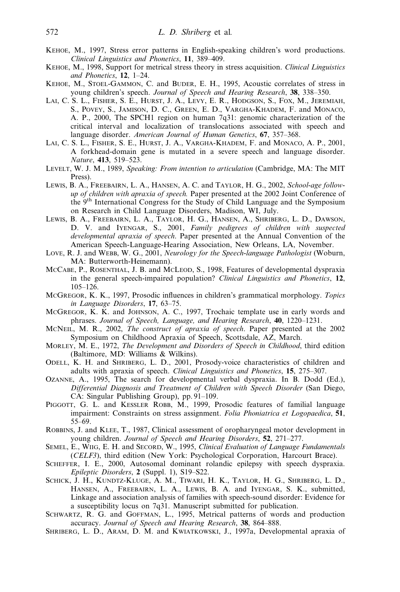- KEHOE, M., 1997, Stress error patterns in English-speaking children's word productions. Clinical Linguistics and Phonetics, 11, 389–409.
- KEHOE, M., 1998, Support for metrical stress theory in stress acquisition. Clinical Linguistics and Phonetics, 12, 1–24.
- KEHOE, M., STOEL-GAMMON, C. and BUDER, E. H., 1995, Acoustic correlates of stress in young children's speech. Journal of Speech and Hearing Research, 38, 338–350.
- LAI, C. S. L., FISHER, S. E., HURST, J. A., LEVY, E. R., HODGSON, S., FOX, M., JEREMIAH, S., POVEY, S., JAMISON, D. C., GREEN, E. D., VARGHA-KHADEM, F. and MONACO, A. P., 2000, The SPCH1 region on human 7q31: genomic characterization of the critical interval and localization of translocations associated with speech and language disorder. American Journal of Human Genetics, 67, 357-368.
- LAI, C. S. L., FISHER, S. E., HURST, J. A., VARGHA-KHADEM, F. and MONACO, A. P., 2001, A forkhead-domain gene is mutated in a severe speech and language disorder. Nature, 413, 519-523.
- LEVELT, W. J. M., 1989, Speaking: From intention to articulation (Cambridge, MA: The MIT Press).
- LEWIS, B. A., FREEBAIRN, L. A., HANSEN, A. C. and TAYLOR, H. G., 2002, School-age followup of children with apraxia of speech. Paper presented at the 2002 Joint Conference of the 9th International Congress for the Study of Child Language and the Symposium on Research in Child Language Disorders, Madison, WI, July.
- LEWIS, B. A., FREEBAIRN, L. A., TAYLOR, H. G., HANSEN, A., SHRIBERG, L. D., DAWSON, D. V. and IYENGAR, S., 2001, Family pedigrees of children with suspected developmental apraxia of speech. Paper presented at the Annual Convention of the American Speech-Language-Hearing Association, New Orleans, LA, November.
- LOVE, R. J. and WEBB, W. G., 2001, Neurology for the Speech-language Pathologist (Woburn, MA: Butterworth-Heinemann).
- MCCABE, P., ROSENTHAL, J. B. and MCLEOD, S., 1998, Features of developmental dyspraxia in the general speech-impaired population? Clinical Linguistics and Phonetics, 12, 105–126.
- MCGREGOR, K. K., 1997, Prosodic influences in children's grammatical morphology. Topics in Language Disorders, 17, 63–75.
- McGREGOR, K. K. and JOHNSON, A. C., 1997, Trochaic template use in early words and phrases. Journal of Speech, Language, and Hearing Research, 40, 1220-1231.
- MCNEIL, M. R., 2002, The construct of apraxia of speech. Paper presented at the 2002 Symposium on Childhood Apraxia of Speech, Scottsdale, AZ, March.
- MORLEY, M. E., 1972, The Development and Disorders of Speech in Childhood, third edition (Baltimore, MD: Williams & Wilkins).
- ODELL, K. H. and SHRIBERG, L. D., 2001, Prosody-voice characteristics of children and adults with apraxia of speech. Clinical Linguistics and Phonetics, 15, 275–307.
- OZANNE, A., 1995, The search for developmental verbal dyspraxia. In B. Dodd (Ed.), Differential Diagnosis and Treatment of Children with Speech Disorder (San Diego, CA: Singular Publishing Group), pp. 91–109.
- PIGGOTT, G. L. and KESSLER ROBB, M., 1999, Prosodic features of familial language impairment: Constraints on stress assignment. Folia Phoniatrica et Logopaedica, 51, 55–69.
- ROBBINS, J. and KLEE, T., 1987, Clinical assessment of oropharyngeal motor development in young children. Journal of Speech and Hearing Disorders, 52, 271-277.
- SEMEL, E., WIIG, E. H. and SECORD, W., 1995, Clinical Evaluation of Language Fundamentals (CELF3), third edition (New York: Psychological Corporation, Harcourt Brace).
- SCHEFFER, I. E., 2000, Autosomal dominant rolandic epilepsy with speech dyspraxia. Epileptic Disorders, 2 (Suppl. 1), S19–S22.
- SCHICK, J. H., KUNDTZ-KLUGE, A. M., TIWARI, H. K., TAYLOR, H. G., SHRIBERG, L. D., HANSEN, A., FREEBAIRN, L. A., LEWIS, B. A. and IYENGAR, S. K., submitted, Linkage and association analysis of families with speech-sound disorder: Evidence for a susceptibility locus on 7q31. Manuscript submitted for publication.
- SCHWARTZ, R. G. and GOFFMAN, L., 1995, Metrical patterns of words and production accuracy. Journal of Speech and Hearing Research, 38, 864–888.
- SHRIBERG, L. D., ARAM, D. M. and KWIATKOWSKI, J., 1997a, Developmental apraxia of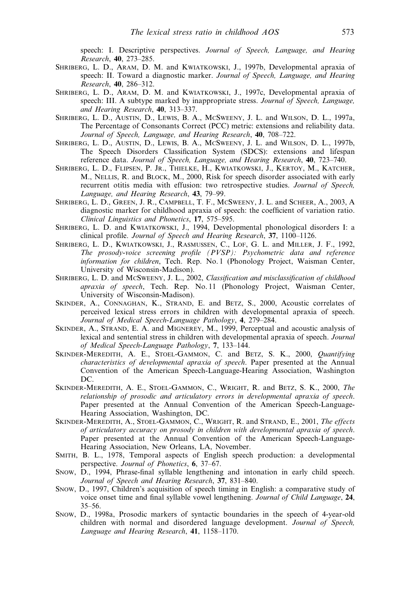speech: I. Descriptive perspectives. Journal of Speech, Language, and Hearing Research, 40, 273–285.

- SHRIBERG, L. D., ARAM, D. M. and KWIATKOWSKI, J., 1997b, Developmental apraxia of speech: II. Toward a diagnostic marker. Journal of Speech, Language, and Hearing Research, 40, 286–312.
- SHRIBERG, L. D., ARAM, D. M. and KWIATKOWSKI, J., 1997c, Developmental apraxia of speech: III. A subtype marked by inappropriate stress. Journal of Speech, Language, and Hearing Research, 40, 313–337.
- SHRIBERG, L. D., AUSTIN, D., LEWIS, B. A., MCSWEENY, J. L. and WILSON, D. L., 1997a, The Percentage of Consonants Correct (PCC) metric: extensions and reliability data. Journal of Speech, Language, and Hearing Research, 40, 708–722.
- SHRIBERG, L. D., AUSTIN, D., LEWIS, B. A., MCSWEENY, J. L. and WILSON, D. L., 1997b, The Speech Disorders Classification System (SDCS): extensions and lifespan reference data. Journal of Speech, Language, and Hearing Research, 40, 723–740.
- SHRIBERG, L. D., FLIPSEN, P. JR., THIELKE, H., KWIATKOWSKI, J., KERTOY, M., KATCHER, M., NELLIS, R. and BLOCK, M., 2000, Risk for speech disorder associated with early recurrent otitis media with effusion: two retrospective studies. Journal of Speech, Language, and Hearing Research, 43, 79–99.
- SHRIBERG, L. D., GREEN, J. R., CAMPBELL, T. F., MCSWEENY, J. L. and SCHEER, A., 2003, A diagnostic marker for childhood apraxia of speech: the coefficient of variation ratio. Clinical Linguistics and Phonetics, 17, 575–595.
- SHRIBERG, L. D. and KWIATKOWSKI, J., 1994, Developmental phonological disorders I: a clinical profile. Journal of Speech and Hearing Research, 37, 1100–1126.
- SHRIBERG, L. D., KWIATKOWSKI, J., RASMUSSEN, C., LOF, G. L. and MILLER, J. F., 1992, The prosody-voice screening profile (PVSP): Psychometric data and reference information for children, Tech. Rep. No. 1 (Phonology Project, Waisman Center, University of Wisconsin-Madison).
- SHRIBERG, L. D. and MCSWEENY, J. L., 2002, Classification and misclassification of childhood apraxia of speech, Tech. Rep. No. 11 (Phonology Project, Waisman Center, University of Wisconsin-Madison).
- SKINDER, A., CONNAGHAN, K., STRAND, E. and BETZ, S., 2000, Acoustic correlates of perceived lexical stress errors in children with developmental apraxia of speech. Journal of Medical Speech-Language Pathology, 4, 279–284.
- SKINDER, A., STRAND, E. A. and MIGNEREY, M., 1999, Perceptual and acoustic analysis of lexical and sentential stress in children with developmental apraxia of speech. Journal of Medical Speech-Language Pathology, 7, 133–144.
- SKINDER-MEREDITH, A. E., STOEL-GAMMON, C. and BETZ, S. K., 2000, Quantifying characteristics of developmental apraxia of speech. Paper presented at the Annual Convention of the American Speech-Language-Hearing Association, Washington DC.
- SKINDER-MEREDITH, A. E., STOEL-GAMMON, C., WRIGHT, R. and BETZ, S. K., 2000, The relationship of prosodic and articulatory errors in developmental apraxia of speech. Paper presented at the Annual Convention of the American Speech-Language-Hearing Association, Washington, DC.
- SKINDER-MEREDITH, A., STOEL-GAMMON, C., WRIGHT, R. and STRAND, E., 2001, The effects of articulatory accuracy on prosody in children with developmental apraxia of speech. Paper presented at the Annual Convention of the American Speech-Language-Hearing Association, New Orleans, LA, November.
- SMITH, B. L., 1978, Temporal aspects of English speech production: a developmental perspective. Journal of Phonetics, 6, 37–67.
- SNOW, D., 1994, Phrase-final syllable lengthening and intonation in early child speech. Journal of Speech and Hearing Research, 37, 831–840.
- SNOW, D., 1997, Children's acquisition of speech timing in English: a comparative study of voice onset time and final syllable vowel lengthening. Journal of Child Language, 24, 35–56.
- SNOW, D., 1998a, Prosodic markers of syntactic boundaries in the speech of 4-year-old children with normal and disordered language development. Journal of Speech, Language and Hearing Research, 41, 1158–1170.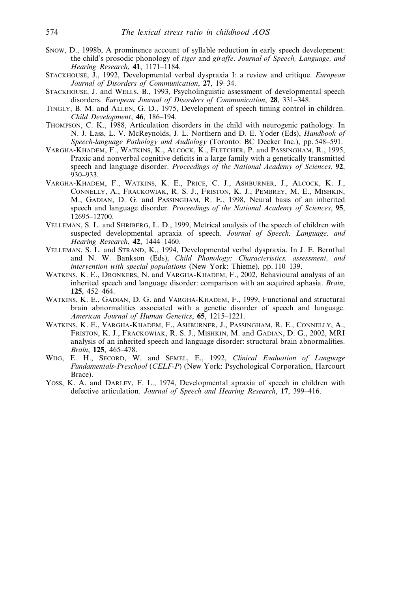- SNOW, D., 1998b, A prominence account of syllable reduction in early speech development: the child's prosodic phonology of tiger and giraffe. Journal of Speech, Language, and Hearing Research, 41, 1171–1184.
- STACKHOUSE, J., 1992, Developmental verbal dyspraxia I: a review and critique. European Journal of Disorders of Communication, 27, 19-34.
- STACKHOUSE, J. and WELLS, B., 1993, Psycholinguistic assessment of developmental speech disorders. European Journal of Disorders of Communication, 28, 331-348.
- TINGLY, B. M. and ALLEN, G. D., 1975, Development of speech timing control in children. Child Development, 46, 186–194.
- THOMPSON, C. K., 1988, Articulation disorders in the child with neurogenic pathology. In N. J. Lass, L. V. McReynolds, J. L. Northern and D. E. Yoder (Eds), Handbook of Speech-language Pathology and Audiology (Toronto: BC Decker Inc.), pp. 548–591.
- VARGHA-KHADEM, F., WATKINS, K., ALCOCK, K., FLETCHER, P. and PASSINGHAM, R., 1995, Praxic and nonverbal cognitive deficits in a large family with a genetically transmitted speech and language disorder. Proceedings of the National Academy of Sciences, 92, 930–933.
- VARGHA-KHADEM, F., WATKINS, K. E., PRICE, C. J., ASHBURNER, J., ALCOCK, K. J., CONNELLY, A., FRACKOWIAK, R. S. J., FRISTON, K. J., PEMBREY, M. E., MISHKIN, M., GADIAN, D. G. and PASSINGHAM, R. E., 1998, Neural basis of an inherited speech and language disorder. Proceedings of the National Academy of Sciences, 95, 12695–12700.
- VELLEMAN, S. L. and SHRIBERG, L. D., 1999, Metrical analysis of the speech of children with suspected developmental apraxia of speech. Journal of Speech, Language, and Hearing Research, 42, 1444–1460.
- VELLEMAN, S. L. and STRAND, K., 1994, Developmental verbal dyspraxia. In J. E. Bernthal and N. W. Bankson (Eds), Child Phonology: Characteristics, assessment, and intervention with special populations (New York: Thieme), pp. 110–139.
- WATKINS, K. E., DRONKERS, N. and VARGHA-KHADEM, F., 2002, Behavioural analysis of an inherited speech and language disorder: comparison with an acquired aphasia. Brain, 125, 452–464.
- WATKINS, K. E., GADIAN, D. G. and VARGHA-KHADEM, F., 1999, Functional and structural brain abnormalities associated with a genetic disorder of speech and language. American Journal of Human Genetics, 65, 1215-1221.
- WATKINS, K. E., VARGHA-KHADEM, F., ASHBURNER, J., PASSINGHAM, R. E., CONNELLY, A., FRISTON, K. J., FRACKOWIAK, R. S. J., MISHKIN, M. and GADIAN, D. G., 2002, MRI analysis of an inherited speech and language disorder: structural brain abnormalities. Brain, 125, 465–478.
- WIIG, E. H., SECORD, W. and SEMEL, E., 1992, Clinical Evaluation of Language Fundamentals-Preschool (CELF-P) (New York: Psychological Corporation, Harcourt Brace).
- YOSS, K. A. and DARLEY, F. L., 1974, Developmental apraxia of speech in children with defective articulation. Journal of Speech and Hearing Research, 17, 399–416.